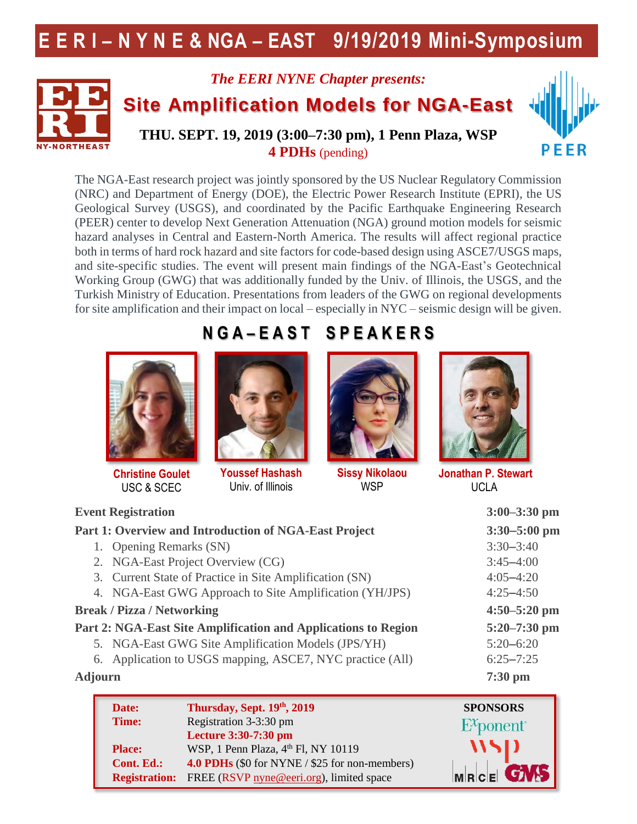# **E E R I – N Y N E & NGA – EAST 9/19/2019 Mini-Symposium**



# *The EERI NYNE Chapter presents:* **Site Amplification Models for NGA-East**



**THU. SEPT. 19, 2019 (3:00–7:30 pm), 1 Penn Plaza, WSP 4 PDHs** (pending)

The NGA-East research project was jointly sponsored by the US Nuclear Regulatory Commission (NRC) and Department of Energy (DOE), the Electric Power Research Institute (EPRI), the US Geological Survey (USGS), and coordinated by the Pacific Earthquake Engineering Research (PEER) center to develop Next Generation Attenuation (NGA) ground motion models for seismic hazard analyses in Central and Eastern-North America. The results will affect regional practice both in terms of hard rock hazard and site factors for code-based design using ASCE7/USGS maps, and site-specific studies. The event will present main findings of the NGA-East's Geotechnical Working Group (GWG) that was additionally funded by the Univ. of Illinois, the USGS, and the Turkish Ministry of Education. Presentations from leaders of the GWG on regional developments for site amplification and their impact on local – especially in NYC – seismic design will be given.



**Christine Goulet**  USC & SCEC

# **N G A – E A S T S P E A K E R S**



**Youssef Hashash**  Univ. of Illinois



**Sissy Nikolaou WSP** 



**Jonathan P. Stewart**  UCLA

| <b>Event Registration</b>                                      | $3:00 - 3:30$ pm                                                  |
|----------------------------------------------------------------|-------------------------------------------------------------------|
| Part 1: Overview and Introduction of NGA-East Project          | $3:30 - 5:00$ pm                                                  |
| 1. Opening Remarks (SN)                                        | $3:30 - 3:40$                                                     |
| 2. NGA-East Project Overview (CG)                              | $3:45 - 4:00$                                                     |
| 3. Current State of Practice in Site Amplification (SN)        | $4:05 - 4:20$                                                     |
| 4. NGA-East GWG Approach to Site Amplification (YH/JPS)        | $4:25 - 4:50$                                                     |
| <b>Break / Pizza / Networking</b>                              | $4:50 - 5:20$ pm                                                  |
| Part 2: NGA-East Site Amplification and Applications to Region | $5:20 - 7:30$ pm                                                  |
| 5. NGA-East GWG Site Amplification Models (JPS/YH)             | $5:20 - 6:20$                                                     |
| 6. Application to USGS mapping, ASCE7, NYC practice (All)      | $6:25 - 7:25$                                                     |
| <b>Adjourn</b>                                                 | $7:30 \text{ pm}$                                                 |
| T11<br>$\mathbf{D}$ . $\mathbf{A}$                             | $C_{\mathbf{D}} \cap \mathbf{N}$ $C_{\mathbf{D}} \cap \mathbf{C}$ |

| Date:                | Thursday, Sept. 19th, 2019                            | <b>SPONSORS</b> |
|----------------------|-------------------------------------------------------|-----------------|
| Time:                | Registration 3-3:30 pm                                | $E^x$ ponent    |
|                      | Lecture 3:30-7:30 pm                                  |                 |
| <b>Place:</b>        | WSP, 1 Penn Plaza, 4 <sup>th</sup> Fl, NY 10119       | WSD             |
| <b>Cont. Ed.:</b>    | <b>4.0 PDHs</b> (\$0 for NYNE / \$25 for non-members) |                 |
| <b>Registration:</b> | FREE (RSVP nyne@eeri.org), limited space              | MRCE <b>GMS</b> |